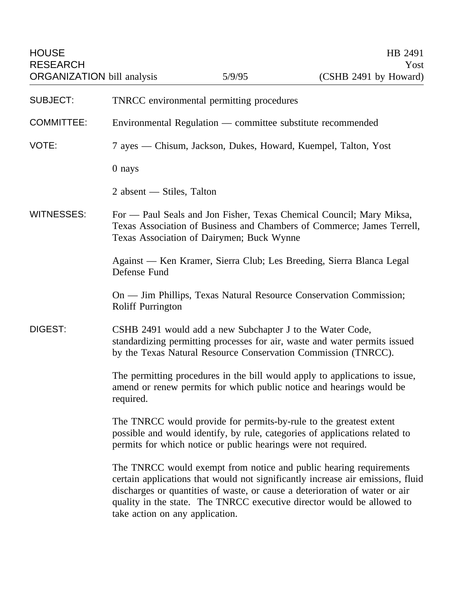HOUSE HB 2491 RESEARCH Yost ORGANIZATION bill analysis 5/9/95 (CSHB 2491 by Howard) SUBJECT: TNRCC environmental permitting procedures COMMITTEE: Environmental Regulation — committee substitute recommended VOTE: 7 ayes — Chisum, Jackson, Dukes, Howard, Kuempel, Talton, Yost 0 nays 2 absent — Stiles, Talton WITNESSES: For - Paul Seals and Jon Fisher, Texas Chemical Council; Mary Miksa, Texas Association of Business and Chambers of Commerce; James Terrell, Texas Association of Dairymen; Buck Wynne Against — Ken Kramer, Sierra Club; Les Breeding, Sierra Blanca Legal Defense Fund On — Jim Phillips, Texas Natural Resource Conservation Commission; Roliff Purrington DIGEST: CSHB 2491 would add a new Subchapter J to the Water Code, standardizing permitting processes for air, waste and water permits issued by the Texas Natural Resource Conservation Commission (TNRCC). The permitting procedures in the bill would apply to applications to issue, amend or renew permits for which public notice and hearings would be required. The TNRCC would provide for permits-by-rule to the greatest extent possible and would identify, by rule, categories of applications related to permits for which notice or public hearings were not required. The TNRCC would exempt from notice and public hearing requirements certain applications that would not significantly increase air emissions, fluid discharges or quantities of waste, or cause a deterioration of water or air quality in the state. The TNRCC executive director would be allowed to

take action on any application.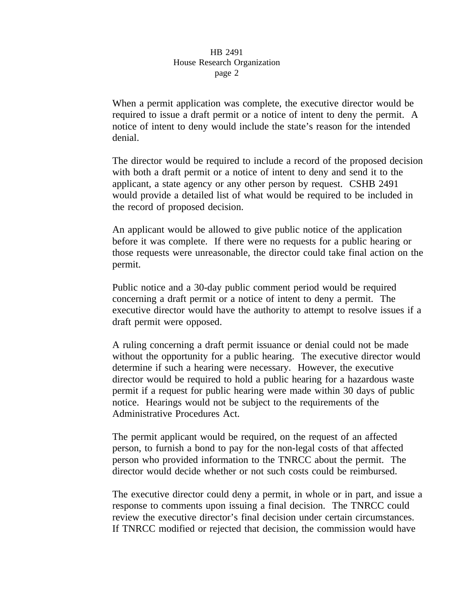When a permit application was complete, the executive director would be required to issue a draft permit or a notice of intent to deny the permit. A notice of intent to deny would include the state's reason for the intended denial.

The director would be required to include a record of the proposed decision with both a draft permit or a notice of intent to deny and send it to the applicant, a state agency or any other person by request. CSHB 2491 would provide a detailed list of what would be required to be included in the record of proposed decision.

An applicant would be allowed to give public notice of the application before it was complete. If there were no requests for a public hearing or those requests were unreasonable, the director could take final action on the permit.

Public notice and a 30-day public comment period would be required concerning a draft permit or a notice of intent to deny a permit. The executive director would have the authority to attempt to resolve issues if a draft permit were opposed.

A ruling concerning a draft permit issuance or denial could not be made without the opportunity for a public hearing. The executive director would determine if such a hearing were necessary. However, the executive director would be required to hold a public hearing for a hazardous waste permit if a request for public hearing were made within 30 days of public notice. Hearings would not be subject to the requirements of the Administrative Procedures Act.

The permit applicant would be required, on the request of an affected person, to furnish a bond to pay for the non-legal costs of that affected person who provided information to the TNRCC about the permit. The director would decide whether or not such costs could be reimbursed.

The executive director could deny a permit, in whole or in part, and issue a response to comments upon issuing a final decision. The TNRCC could review the executive director's final decision under certain circumstances. If TNRCC modified or rejected that decision, the commission would have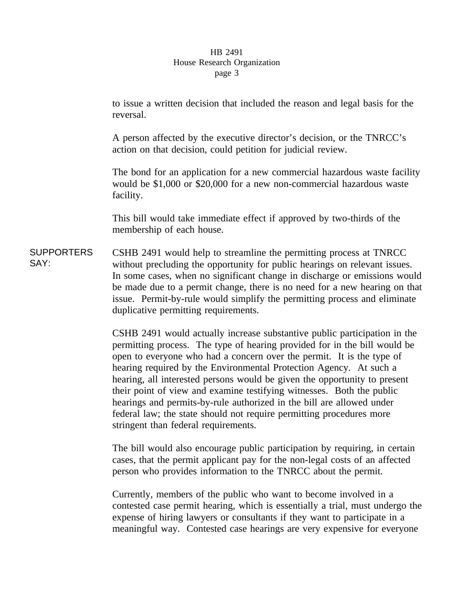to issue a written decision that included the reason and legal basis for the reversal.

A person affected by the executive director's decision, or the TNRCC's action on that decision, could petition for judicial review.

The bond for an application for a new commercial hazardous waste facility would be \$1,000 or \$20,000 for a new non-commercial hazardous waste facility.

This bill would take immediate effect if approved by two-thirds of the membership of each house.

**SUPPORTERS** SAY: CSHB 2491 would help to streamline the permitting process at TNRCC without precluding the opportunity for public hearings on relevant issues. In some cases, when no significant change in discharge or emissions would be made due to a permit change, there is no need for a new hearing on that issue. Permit-by-rule would simplify the permitting process and eliminate duplicative permitting requirements.

> CSHB 2491 would actually increase substantive public participation in the permitting process. The type of hearing provided for in the bill would be open to everyone who had a concern over the permit. It is the type of hearing required by the Environmental Protection Agency. At such a hearing, all interested persons would be given the opportunity to present their point of view and examine testifying witnesses. Both the public hearings and permits-by-rule authorized in the bill are allowed under federal law; the state should not require permitting procedures more stringent than federal requirements.

> The bill would also encourage public participation by requiring, in certain cases, that the permit applicant pay for the non-legal costs of an affected person who provides information to the TNRCC about the permit.

Currently, members of the public who want to become involved in a contested case permit hearing, which is essentially a trial, must undergo the expense of hiring lawyers or consultants if they want to participate in a meaningful way. Contested case hearings are very expensive for everyone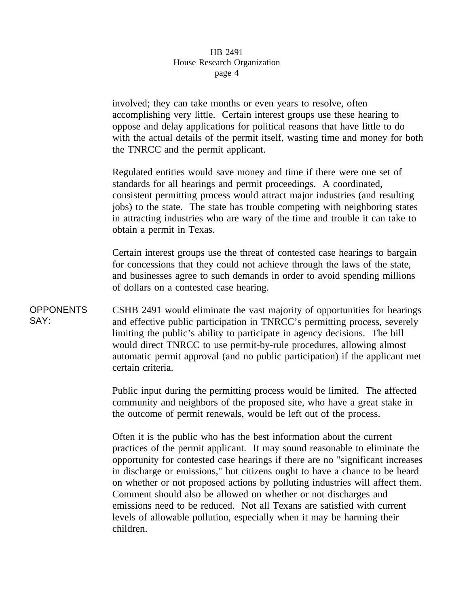involved; they can take months or even years to resolve, often accomplishing very little. Certain interest groups use these hearing to oppose and delay applications for political reasons that have little to do with the actual details of the permit itself, wasting time and money for both the TNRCC and the permit applicant.

Regulated entities would save money and time if there were one set of standards for all hearings and permit proceedings. A coordinated, consistent permitting process would attract major industries (and resulting jobs) to the state. The state has trouble competing with neighboring states in attracting industries who are wary of the time and trouble it can take to obtain a permit in Texas.

Certain interest groups use the threat of contested case hearings to bargain for concessions that they could not achieve through the laws of the state, and businesses agree to such demands in order to avoid spending millions of dollars on a contested case hearing.

**OPPONENTS** SAY: CSHB 2491 would eliminate the vast majority of opportunities for hearings and effective public participation in TNRCC's permitting process, severely limiting the public's ability to participate in agency decisions. The bill would direct TNRCC to use permit-by-rule procedures, allowing almost automatic permit approval (and no public participation) if the applicant met certain criteria.

> Public input during the permitting process would be limited. The affected community and neighbors of the proposed site, who have a great stake in the outcome of permit renewals, would be left out of the process.

Often it is the public who has the best information about the current practices of the permit applicant. It may sound reasonable to eliminate the opportunity for contested case hearings if there are no "significant increases in discharge or emissions," but citizens ought to have a chance to be heard on whether or not proposed actions by polluting industries will affect them. Comment should also be allowed on whether or not discharges and emissions need to be reduced. Not all Texans are satisfied with current levels of allowable pollution, especially when it may be harming their children.